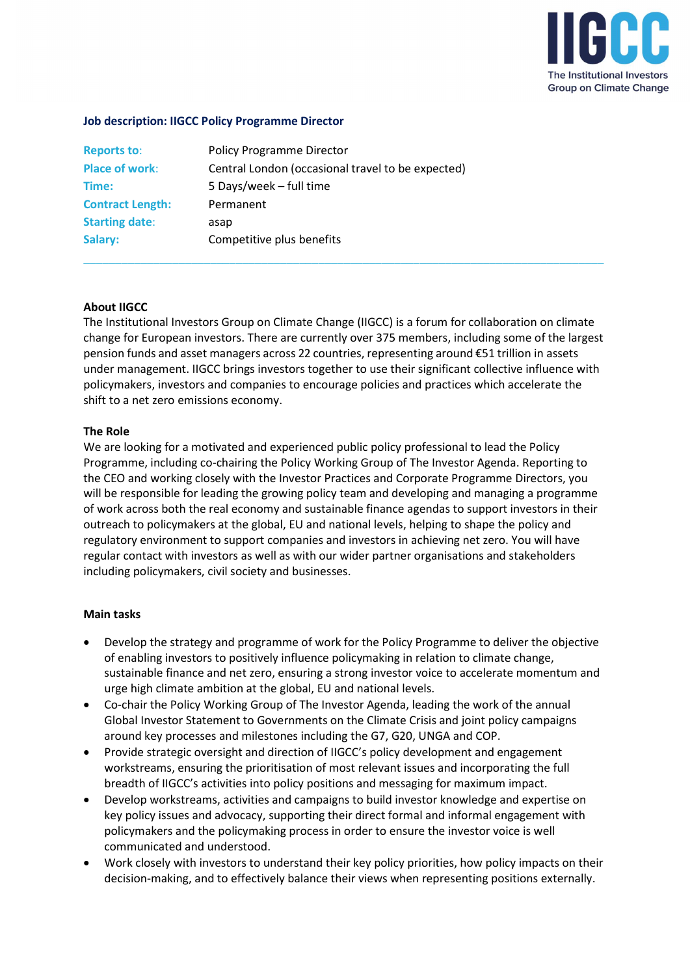

### Job description: IIGCC Policy Programme Director

| <b>Reports to:</b>      | <b>Policy Programme Director</b>                  |
|-------------------------|---------------------------------------------------|
| <b>Place of work:</b>   | Central London (occasional travel to be expected) |
| Time:                   | 5 Days/week - full time                           |
| <b>Contract Length:</b> | Permanent                                         |
| <b>Starting date:</b>   | asap                                              |
| Salary:                 | Competitive plus benefits                         |

### About IIGCC

The Institutional Investors Group on Climate Change (IIGCC) is a forum for collaboration on climate change for European investors. There are currently over 375 members, including some of the largest pension funds and asset managers across 22 countries, representing around €51 trillion in assets under management. IIGCC brings investors together to use their significant collective influence with policymakers, investors and companies to encourage policies and practices which accelerate the shift to a net zero emissions economy.

\_\_\_\_\_\_\_\_\_\_\_\_\_\_\_\_\_\_\_\_\_\_\_\_\_\_\_\_\_\_\_\_\_\_\_\_\_\_\_\_\_\_\_\_\_\_\_\_\_\_\_\_\_\_\_\_\_\_\_\_\_\_\_\_\_\_\_\_\_\_\_\_\_\_\_\_\_\_\_\_\_\_

#### The Role

We are looking for a motivated and experienced public policy professional to lead the Policy Programme, including co-chairing the Policy Working Group of The Investor Agenda. Reporting to the CEO and working closely with the Investor Practices and Corporate Programme Directors, you will be responsible for leading the growing policy team and developing and managing a programme of work across both the real economy and sustainable finance agendas to support investors in their outreach to policymakers at the global, EU and national levels, helping to shape the policy and regulatory environment to support companies and investors in achieving net zero. You will have regular contact with investors as well as with our wider partner organisations and stakeholders including policymakers, civil society and businesses.

#### Main tasks

- Develop the strategy and programme of work for the Policy Programme to deliver the objective of enabling investors to positively influence policymaking in relation to climate change, sustainable finance and net zero, ensuring a strong investor voice to accelerate momentum and urge high climate ambition at the global, EU and national levels.
- Co-chair the Policy Working Group of The Investor Agenda, leading the work of the annual Global Investor Statement to Governments on the Climate Crisis and joint policy campaigns around key processes and milestones including the G7, G20, UNGA and COP.
- Provide strategic oversight and direction of IIGCC's policy development and engagement workstreams, ensuring the prioritisation of most relevant issues and incorporating the full breadth of IIGCC's activities into policy positions and messaging for maximum impact.
- Develop workstreams, activities and campaigns to build investor knowledge and expertise on key policy issues and advocacy, supporting their direct formal and informal engagement with policymakers and the policymaking process in order to ensure the investor voice is well communicated and understood.
- Work closely with investors to understand their key policy priorities, how policy impacts on their decision-making, and to effectively balance their views when representing positions externally.